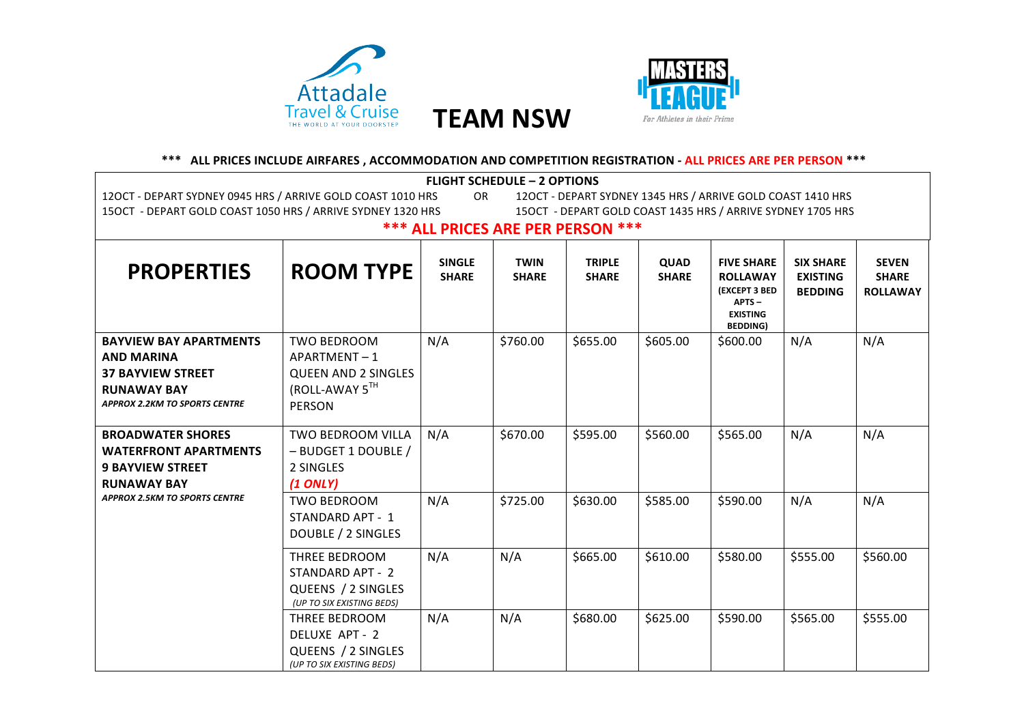



## \*\*\* ALL PRICES INCLUDE AIRFARES, ACCOMMODATION AND COMPETITION REGISTRATION - ALL PRICES ARE PER PERSON \*\*\*

| <b>FLIGHT SCHEDULE - 2 OPTIONS</b>                                                                                                           |                                                                                             |                               |                             |                               |                      |                                                                                                                |                                                       |                                                 |
|----------------------------------------------------------------------------------------------------------------------------------------------|---------------------------------------------------------------------------------------------|-------------------------------|-----------------------------|-------------------------------|----------------------|----------------------------------------------------------------------------------------------------------------|-------------------------------------------------------|-------------------------------------------------|
| 12OCT - DEPART SYDNEY 1345 HRS / ARRIVE GOLD COAST 1410 HRS<br>12OCT - DEPART SYDNEY 0945 HRS / ARRIVE GOLD COAST 1010 HRS<br>OR.            |                                                                                             |                               |                             |                               |                      |                                                                                                                |                                                       |                                                 |
| 15OCT - DEPART GOLD COAST 1050 HRS / ARRIVE SYDNEY 1320 HRS<br>15OCT - DEPART GOLD COAST 1435 HRS / ARRIVE SYDNEY 1705 HRS                   |                                                                                             |                               |                             |                               |                      |                                                                                                                |                                                       |                                                 |
| <b>*** ALL PRICES ARE PER PERSON ***</b>                                                                                                     |                                                                                             |                               |                             |                               |                      |                                                                                                                |                                                       |                                                 |
| <b>PROPERTIES</b>                                                                                                                            | <b>ROOM TYPE</b>                                                                            | <b>SINGLE</b><br><b>SHARE</b> | <b>TWIN</b><br><b>SHARE</b> | <b>TRIPLE</b><br><b>SHARE</b> | QUAD<br><b>SHARE</b> | <b>FIVE SHARE</b><br><b>ROLLAWAY</b><br><b>(EXCEPT 3 BED</b><br>$APTS -$<br><b>EXISTING</b><br><b>BEDDING)</b> | <b>SIX SHARE</b><br><b>EXISTING</b><br><b>BEDDING</b> | <b>SEVEN</b><br><b>SHARE</b><br><b>ROLLAWAY</b> |
| <b>BAYVIEW BAY APARTMENTS</b><br><b>AND MARINA</b><br><b>37 BAYVIEW STREET</b><br><b>RUNAWAY BAY</b><br><b>APPROX 2.2KM TO SPORTS CENTRE</b> | <b>TWO BEDROOM</b><br>APARTMENT-1<br><b>QUEEN AND 2 SINGLES</b><br>(ROLL-AWAY 5TH<br>PERSON | N/A                           | \$760.00                    | \$655.00                      | \$605.00             | \$600.00                                                                                                       | N/A                                                   | N/A                                             |
| <b>BROADWATER SHORES</b><br><b>WATERFRONT APARTMENTS</b><br><b>9 BAYVIEW STREET</b><br><b>RUNAWAY BAY</b>                                    | TWO BEDROOM VILLA<br>- BUDGET 1 DOUBLE /<br>2 SINGLES<br>$(1$ ONLY)                         | N/A                           | \$670.00                    | \$595.00                      | \$560.00             | \$565.00                                                                                                       | N/A                                                   | N/A                                             |
| <b>APPROX 2.5KM TO SPORTS CENTRE</b>                                                                                                         | <b>TWO BEDROOM</b><br>STANDARD APT - 1<br>DOUBLE / 2 SINGLES                                | N/A                           | \$725.00                    | \$630.00                      | \$585.00             | \$590.00                                                                                                       | N/A                                                   | N/A                                             |
|                                                                                                                                              | THREE BEDROOM<br>STANDARD APT - 2<br>QUEENS / 2 SINGLES<br>(UP TO SIX EXISTING BEDS)        | N/A                           | N/A                         | \$665.00                      | \$610.00             | \$580.00                                                                                                       | \$555.00                                              | \$560.00                                        |
|                                                                                                                                              | THREE BEDROOM<br>DELUXE APT - 2<br>QUEENS / 2 SINGLES<br>(UP TO SIX EXISTING BEDS)          | N/A                           | N/A                         | \$680.00                      | \$625.00             | \$590.00                                                                                                       | \$565.00                                              | \$555.00                                        |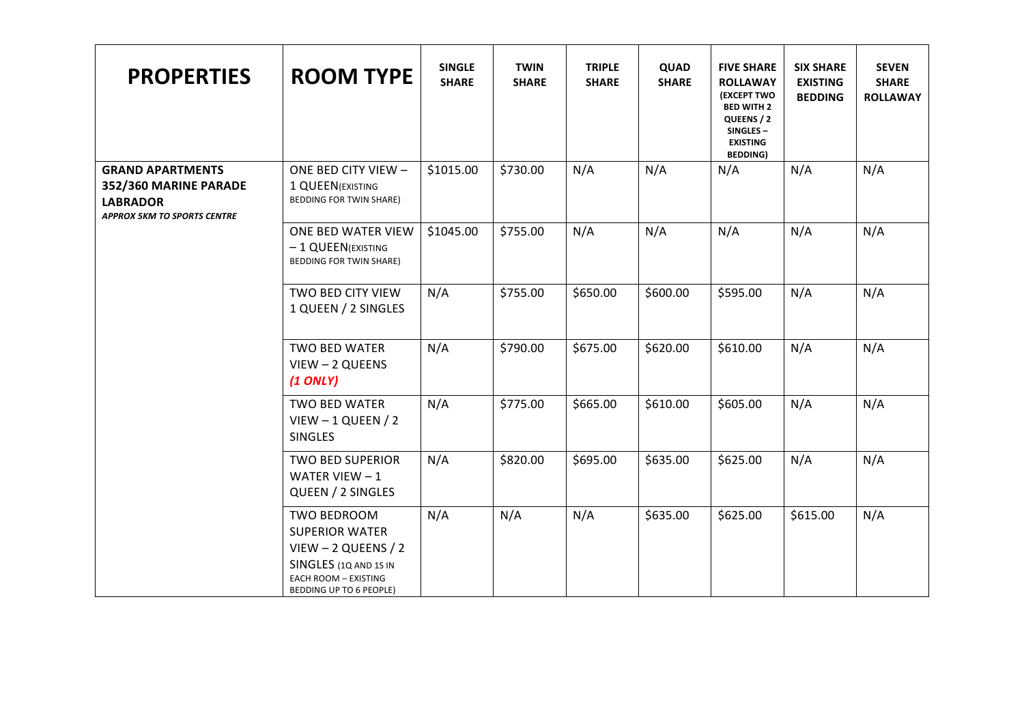| <b>PROPERTIES</b>                                                                                         | <b>ROOM TYPE</b>                                                                                                                                  | <b>SINGLE</b><br><b>SHARE</b> | <b>TWIN</b><br><b>SHARE</b> | <b>TRIPLE</b><br><b>SHARE</b> | QUAD<br><b>SHARE</b> | <b>FIVE SHARE</b><br><b>ROLLAWAY</b><br><b>(EXCEPT TWO</b><br><b>BED WITH 2</b><br>QUEENS / 2<br>SINGLES-<br><b>EXISTING</b><br><b>BEDDING)</b> | <b>SIX SHARE</b><br><b>EXISTING</b><br><b>BEDDING</b> | <b>SEVEN</b><br><b>SHARE</b><br><b>ROLLAWAY</b> |
|-----------------------------------------------------------------------------------------------------------|---------------------------------------------------------------------------------------------------------------------------------------------------|-------------------------------|-----------------------------|-------------------------------|----------------------|-------------------------------------------------------------------------------------------------------------------------------------------------|-------------------------------------------------------|-------------------------------------------------|
| <b>GRAND APARTMENTS</b><br>352/360 MARINE PARADE<br><b>LABRADOR</b><br><b>APPROX 5KM TO SPORTS CENTRE</b> | ONE BED CITY VIEW -<br>1 QUEEN (EXISTING<br><b>BEDDING FOR TWIN SHARE)</b>                                                                        | \$1015.00                     | \$730.00                    | N/A                           | N/A                  | N/A                                                                                                                                             | N/A                                                   | N/A                                             |
|                                                                                                           | ONE BED WATER VIEW<br>- 1 QUEEN(EXISTING<br>BEDDING FOR TWIN SHARE)                                                                               | \$1045.00                     | \$755.00                    | N/A                           | N/A                  | N/A                                                                                                                                             | N/A                                                   | N/A                                             |
|                                                                                                           | TWO BED CITY VIEW<br>1 QUEEN / 2 SINGLES                                                                                                          | N/A                           | \$755.00                    | \$650.00                      | \$600.00             | \$595.00                                                                                                                                        | N/A                                                   | N/A                                             |
|                                                                                                           | <b>TWO BED WATER</b><br>VIEW - 2 QUEENS<br>$(1$ ONLY)                                                                                             | N/A                           | \$790.00                    | \$675.00                      | \$620.00             | \$610.00                                                                                                                                        | N/A                                                   | N/A                                             |
|                                                                                                           | TWO BED WATER<br>$V$ IEW - 1 QUEEN / 2<br><b>SINGLES</b>                                                                                          | N/A                           | \$775.00                    | \$665.00                      | \$610.00             | \$605.00                                                                                                                                        | N/A                                                   | N/A                                             |
|                                                                                                           | <b>TWO BED SUPERIOR</b><br>WATER VIEW $-1$<br>QUEEN / 2 SINGLES                                                                                   | N/A                           | \$820.00                    | \$695.00                      | \$635.00             | \$625.00                                                                                                                                        | N/A                                                   | N/A                                             |
|                                                                                                           | TWO BEDROOM<br><b>SUPERIOR WATER</b><br>$V$ IEW - 2 QUEENS / 2<br>SINGLES (1Q AND 1S IN<br><b>EACH ROOM - EXISTING</b><br>BEDDING UP TO 6 PEOPLE) | N/A                           | N/A                         | N/A                           | \$635.00             | \$625.00                                                                                                                                        | \$615.00                                              | N/A                                             |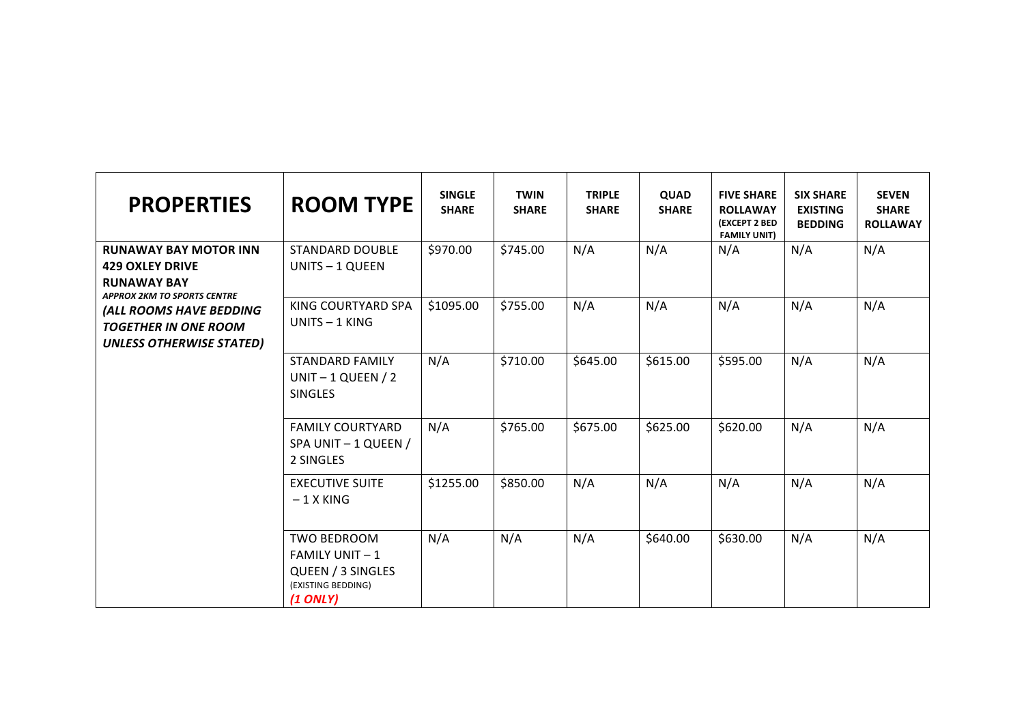| <b>PROPERTIES</b>                                                                                                  | <b>ROOM TYPE</b>                                                                                    | <b>SINGLE</b><br><b>SHARE</b> | <b>TWIN</b><br><b>SHARE</b> | <b>TRIPLE</b><br><b>SHARE</b> | <b>QUAD</b><br><b>SHARE</b> | <b>FIVE SHARE</b><br><b>ROLLAWAY</b><br>(EXCEPT 2 BED<br><b>FAMILY UNIT)</b> | <b>SIX SHARE</b><br><b>EXISTING</b><br><b>BEDDING</b> | <b>SEVEN</b><br><b>SHARE</b><br><b>ROLLAWAY</b> |
|--------------------------------------------------------------------------------------------------------------------|-----------------------------------------------------------------------------------------------------|-------------------------------|-----------------------------|-------------------------------|-----------------------------|------------------------------------------------------------------------------|-------------------------------------------------------|-------------------------------------------------|
| <b>RUNAWAY BAY MOTOR INN</b><br><b>429 OXLEY DRIVE</b><br><b>RUNAWAY BAY</b><br><b>APPROX 2KM TO SPORTS CENTRE</b> | <b>STANDARD DOUBLE</b><br>UNITS - 1 QUEEN                                                           | \$970.00                      | \$745.00                    | N/A                           | N/A                         | N/A                                                                          | N/A                                                   | N/A                                             |
| (ALL ROOMS HAVE BEDDING<br><b>TOGETHER IN ONE ROOM</b><br><b>UNLESS OTHERWISE STATED)</b>                          | KING COURTYARD SPA<br>UNITS $-1$ KING                                                               | \$1095.00                     | \$755.00                    | N/A                           | N/A                         | N/A                                                                          | N/A                                                   | N/A                                             |
|                                                                                                                    | <b>STANDARD FAMILY</b><br>UNIT $-1$ QUEEN / 2<br><b>SINGLES</b>                                     | N/A                           | \$710.00                    | \$645.00                      | \$615.00                    | \$595.00                                                                     | N/A                                                   | N/A                                             |
|                                                                                                                    | <b>FAMILY COURTYARD</b><br>SPA UNIT - 1 QUEEN /<br>2 SINGLES                                        | N/A                           | \$765.00                    | \$675.00                      | \$625.00                    | \$620.00                                                                     | N/A                                                   | N/A                                             |
|                                                                                                                    | <b>EXECUTIVE SUITE</b><br>$-1$ X KING                                                               | \$1255.00                     | \$850.00                    | N/A                           | N/A                         | N/A                                                                          | N/A                                                   | N/A                                             |
|                                                                                                                    | <b>TWO BEDROOM</b><br><b>FAMILY UNIT-1</b><br>QUEEN / 3 SINGLES<br>(EXISTING BEDDING)<br>$(1$ ONLY) | N/A                           | N/A                         | N/A                           | \$640.00                    | \$630.00                                                                     | N/A                                                   | N/A                                             |